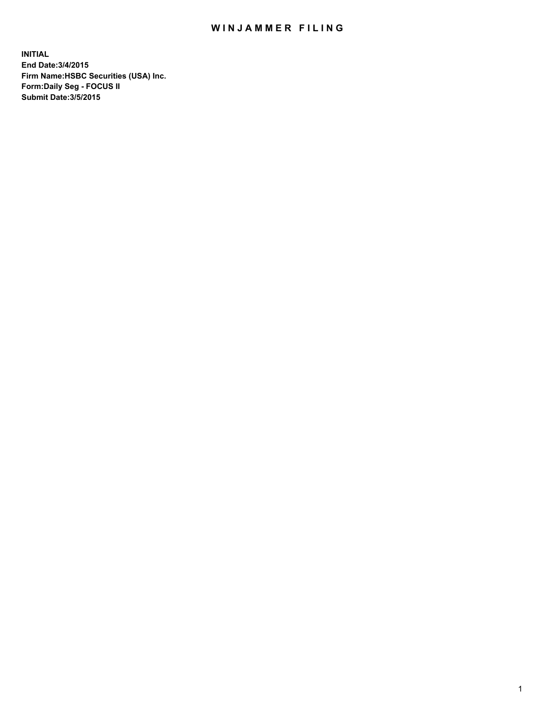## WIN JAMMER FILING

**INITIAL End Date:3/4/2015 Firm Name:HSBC Securities (USA) Inc. Form:Daily Seg - FOCUS II Submit Date:3/5/2015**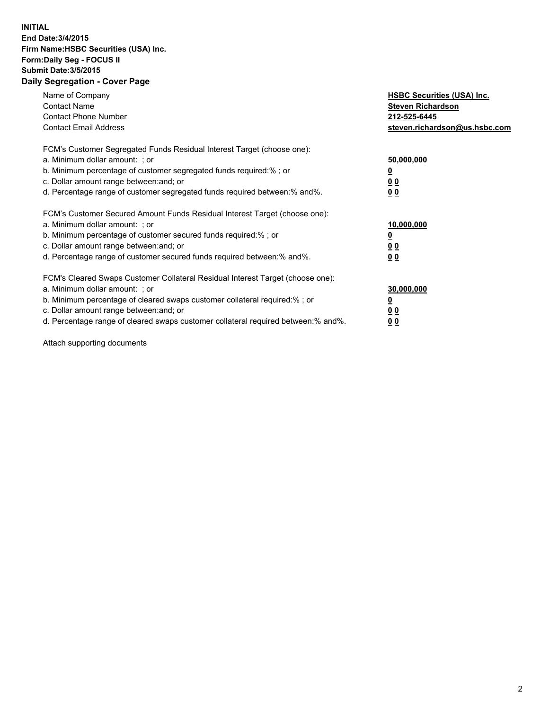## **INITIAL End Date:3/4/2015 Firm Name:HSBC Securities (USA) Inc. Form:Daily Seg - FOCUS II Submit Date:3/5/2015 Daily Segregation - Cover Page**

| Name of Company<br><b>Contact Name</b><br><b>Contact Phone Number</b><br><b>Contact Email Address</b>                                                                                                                                                                                                                         | <b>HSBC Securities (USA) Inc.</b><br><b>Steven Richardson</b><br>212-525-6445<br>steven.richardson@us.hsbc.com |
|-------------------------------------------------------------------------------------------------------------------------------------------------------------------------------------------------------------------------------------------------------------------------------------------------------------------------------|----------------------------------------------------------------------------------------------------------------|
| FCM's Customer Segregated Funds Residual Interest Target (choose one):<br>a. Minimum dollar amount: ; or<br>b. Minimum percentage of customer segregated funds required:% ; or<br>c. Dollar amount range between: and; or<br>d. Percentage range of customer segregated funds required between: % and %.                      | 50,000,000<br>00<br>0 <sub>0</sub>                                                                             |
| FCM's Customer Secured Amount Funds Residual Interest Target (choose one):<br>a. Minimum dollar amount: ; or<br>b. Minimum percentage of customer secured funds required:%; or<br>c. Dollar amount range between: and; or<br>d. Percentage range of customer secured funds required between:% and%.                           | 10,000,000<br>0 <sub>0</sub><br>0 <sub>0</sub>                                                                 |
| FCM's Cleared Swaps Customer Collateral Residual Interest Target (choose one):<br>a. Minimum dollar amount: ; or<br>b. Minimum percentage of cleared swaps customer collateral required:%; or<br>c. Dollar amount range between: and; or<br>d. Percentage range of cleared swaps customer collateral required between:% and%. | 30,000,000<br>0 <sub>0</sub><br>00                                                                             |

Attach supporting documents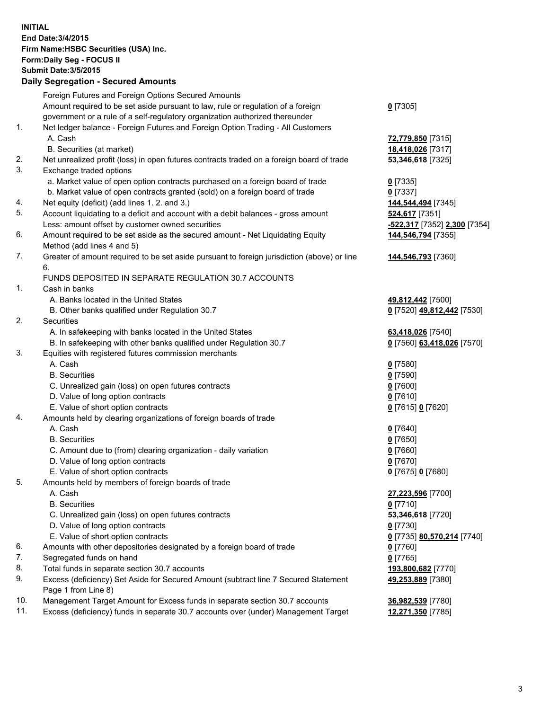**INITIAL End Date:3/4/2015 Firm Name:HSBC Securities (USA) Inc. Form:Daily Seg - FOCUS II Submit Date:3/5/2015 Daily Segregation - Secured Amounts** Foreign Futures and Foreign Options Secured Amounts Amount required to be set aside pursuant to law, rule or regulation of a foreign government or a rule of a self-regulatory organization authorized thereunder **0** [7305] 1. Net ledger balance - Foreign Futures and Foreign Option Trading - All Customers A. Cash **72,779,850** [7315] B. Securities (at market) **18,418,026** [7317] 2. Net unrealized profit (loss) in open futures contracts traded on a foreign board of trade **53,346,618** [7325] 3. Exchange traded options a. Market value of open option contracts purchased on a foreign board of trade **0** [7335] b. Market value of open contracts granted (sold) on a foreign board of trade **0** [7337] 4. Net equity (deficit) (add lines 1. 2. and 3.) **144,544,494** [7345] 5. Account liquidating to a deficit and account with a debit balances - gross amount **524,617** [7351] Less: amount offset by customer owned securities **-522,317** [7352] **2,300** [7354] 6. Amount required to be set aside as the secured amount - Net Liquidating Equity Method (add lines 4 and 5) **144,546,794** [7355] 7. Greater of amount required to be set aside pursuant to foreign jurisdiction (above) or line 6. **144,546,793** [7360] FUNDS DEPOSITED IN SEPARATE REGULATION 30.7 ACCOUNTS 1. Cash in banks A. Banks located in the United States **49,812,442** [7500] B. Other banks qualified under Regulation 30.7 **0** [7520] **49,812,442** [7530] 2. Securities A. In safekeeping with banks located in the United States **63,418,026** [7540] B. In safekeeping with other banks qualified under Regulation 30.7 **0** [7560] **63,418,026** [7570] 3. Equities with registered futures commission merchants A. Cash **0** [7580] B. Securities **0** [7590] C. Unrealized gain (loss) on open futures contracts **0** [7600] D. Value of long option contracts **0** [7610] E. Value of short option contracts **0** [7615] **0** [7620] 4. Amounts held by clearing organizations of foreign boards of trade A. Cash **0** [7640] B. Securities **0** [7650] C. Amount due to (from) clearing organization - daily variation **0** [7660] D. Value of long option contracts **0** [7670] E. Value of short option contracts **0** [7675] **0** [7680] 5. Amounts held by members of foreign boards of trade A. Cash **27,223,596** [7700] B. Securities **0** [7710] C. Unrealized gain (loss) on open futures contracts **53,346,618** [7720] D. Value of long option contracts **0** [7730] E. Value of short option contracts **0** [7735] **80,570,214** [7740] 6. Amounts with other depositories designated by a foreign board of trade **0** [7760] 7. Segregated funds on hand **0** [7765] 8. Total funds in separate section 30.7 accounts **193,800,682** [7770] 9. Excess (deficiency) Set Aside for Secured Amount (subtract line 7 Secured Statement Page 1 from Line 8) **49,253,889** [7380] 10. Management Target Amount for Excess funds in separate section 30.7 accounts **36,982,539** [7780] 11. Excess (deficiency) funds in separate 30.7 accounts over (under) Management Target **12,271,350** [7785]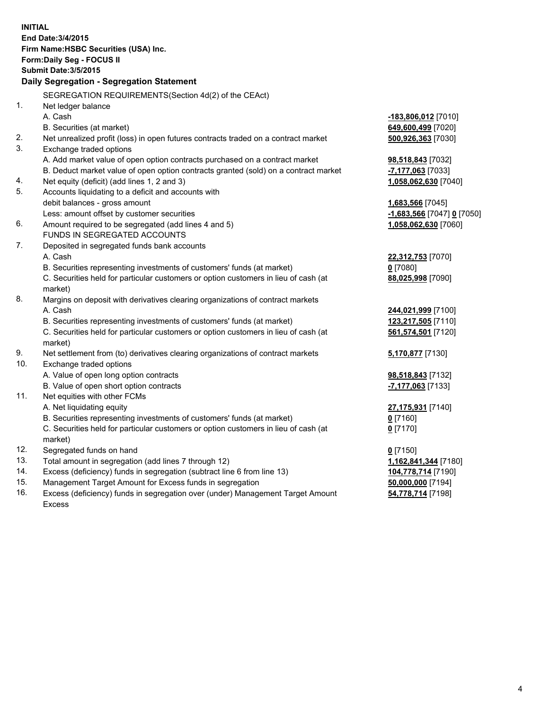| <b>INITIAL</b> | End Date: 3/4/2015<br>Firm Name: HSBC Securities (USA) Inc.<br>Form: Daily Seg - FOCUS II<br><b>Submit Date: 3/5/2015</b><br>Daily Segregation - Segregation Statement |                            |
|----------------|------------------------------------------------------------------------------------------------------------------------------------------------------------------------|----------------------------|
|                | SEGREGATION REQUIREMENTS(Section 4d(2) of the CEAct)                                                                                                                   |                            |
| 1.             | Net ledger balance                                                                                                                                                     |                            |
|                | A. Cash                                                                                                                                                                | $-183,806,012$ [7010]      |
|                | B. Securities (at market)                                                                                                                                              | 649,600,499 [7020]         |
| 2.             | Net unrealized profit (loss) in open futures contracts traded on a contract market                                                                                     | 500,926,363 [7030]         |
| 3.             | Exchange traded options                                                                                                                                                |                            |
|                | A. Add market value of open option contracts purchased on a contract market                                                                                            | 98,518,843 [7032]          |
|                | B. Deduct market value of open option contracts granted (sold) on a contract market                                                                                    | -7,177,063 [7033]          |
| 4.             | Net equity (deficit) (add lines 1, 2 and 3)                                                                                                                            | 1,058,062,630 [7040]       |
| 5.             | Accounts liquidating to a deficit and accounts with                                                                                                                    |                            |
|                | debit balances - gross amount                                                                                                                                          | 1,683,566 [7045]           |
| 6.             | Less: amount offset by customer securities                                                                                                                             | -1,683,566 [7047] 0 [7050] |
|                | Amount required to be segregated (add lines 4 and 5)<br>FUNDS IN SEGREGATED ACCOUNTS                                                                                   | 1,058,062,630 [7060]       |
| 7.             | Deposited in segregated funds bank accounts                                                                                                                            |                            |
|                | A. Cash                                                                                                                                                                | 22,312,753 [7070]          |
|                | B. Securities representing investments of customers' funds (at market)                                                                                                 | $0$ [7080]                 |
|                | C. Securities held for particular customers or option customers in lieu of cash (at                                                                                    | 88,025,998 [7090]          |
|                | market)                                                                                                                                                                |                            |
| 8.             | Margins on deposit with derivatives clearing organizations of contract markets                                                                                         |                            |
|                | A. Cash                                                                                                                                                                | 244,021,999 [7100]         |
|                | B. Securities representing investments of customers' funds (at market)                                                                                                 | 123,217,505 [7110]         |
|                | C. Securities held for particular customers or option customers in lieu of cash (at                                                                                    | 561,574,501 [7120]         |
|                | market)                                                                                                                                                                |                            |
| 9.             | Net settlement from (to) derivatives clearing organizations of contract markets                                                                                        | 5,170,877 [7130]           |
| 10.            | Exchange traded options                                                                                                                                                |                            |
|                | A. Value of open long option contracts                                                                                                                                 | 98,518,843 [7132]          |
|                | B. Value of open short option contracts                                                                                                                                | -7,177,063 [7133]          |
| 11.            | Net equities with other FCMs                                                                                                                                           |                            |
|                | A. Net liquidating equity                                                                                                                                              | 27,175,931 [7140]          |
|                | B. Securities representing investments of customers' funds (at market)                                                                                                 | $0$ [7160]                 |
|                | C. Securities held for particular customers or option customers in lieu of cash (at                                                                                    | $0$ [7170]                 |
|                | market)                                                                                                                                                                |                            |
| 12.            | Segregated funds on hand                                                                                                                                               | $0$ [7150]                 |
| 13.            | Total amount in segregation (add lines 7 through 12)                                                                                                                   | 1,162,841,344 [7180]       |
| 14.            | Excess (deficiency) funds in segregation (subtract line 6 from line 13)                                                                                                | 104,778,714 [7190]         |
| 15.            | Management Target Amount for Excess funds in segregation                                                                                                               | 50,000,000 [7194]          |
| 16.            | Excess (deficiency) funds in segregation over (under) Management Target Amount                                                                                         | 54,778,714 [7198]          |
|                | Excess                                                                                                                                                                 |                            |